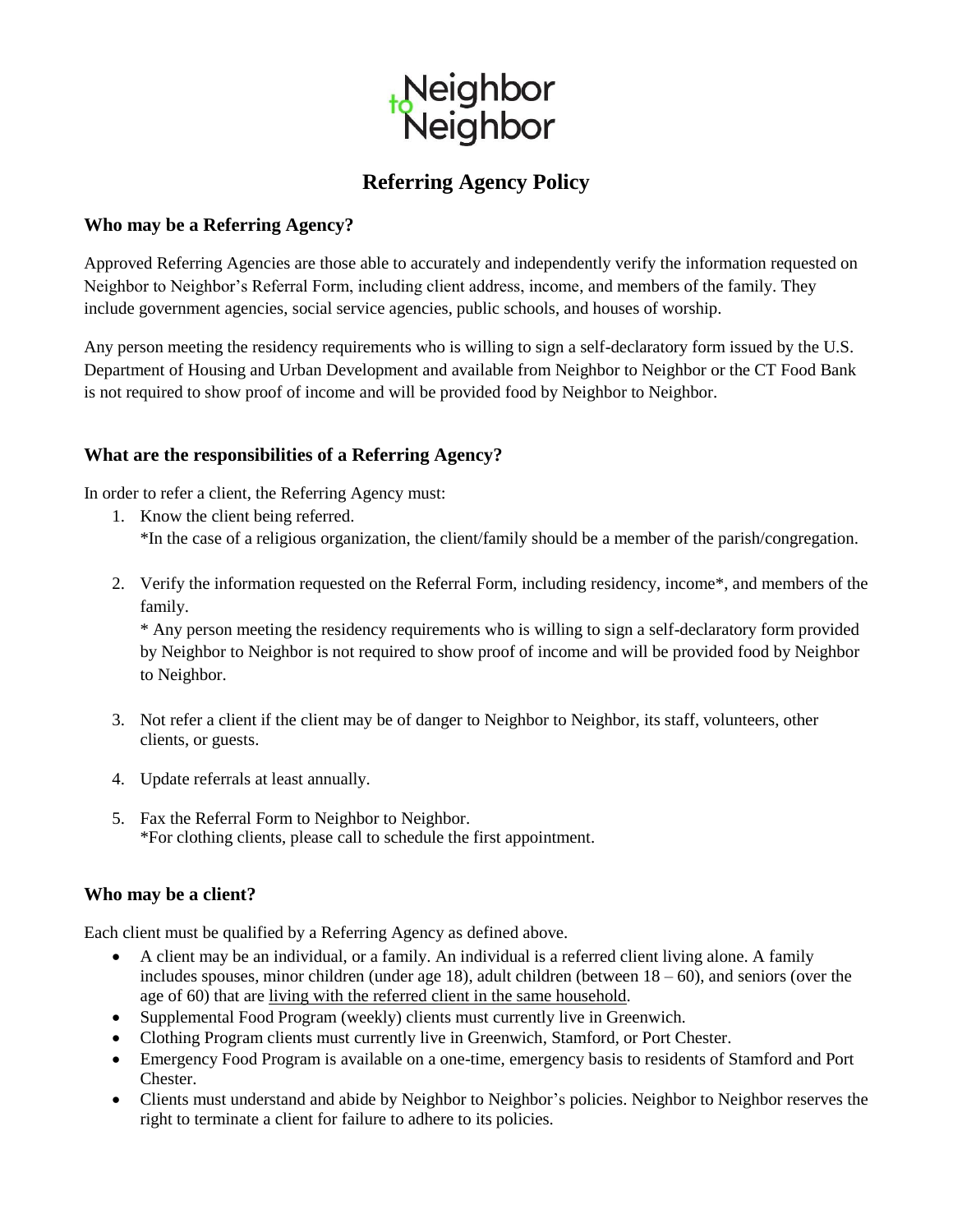

# **Referring Agency Policy**

## **Who may be a Referring Agency?**

Approved Referring Agencies are those able to accurately and independently verify the information requested on Neighbor to Neighbor's Referral Form, including client address, income, and members of the family. They include government agencies, social service agencies, public schools, and houses of worship.

Any person meeting the residency requirements who is willing to sign a self-declaratory form issued by the U.S. Department of Housing and Urban Development and available from Neighbor to Neighbor or the CT Food Bank is not required to show proof of income and will be provided food by Neighbor to Neighbor.

# **What are the responsibilities of a Referring Agency?**

In order to refer a client, the Referring Agency must:

- 1. Know the client being referred. \*In the case of a religious organization, the client/family should be a member of the parish/congregation.
- 2. Verify the information requested on the Referral Form, including residency, income\*, and members of the family.

\* Any person meeting the residency requirements who is willing to sign a self-declaratory form provided by Neighbor to Neighbor is not required to show proof of income and will be provided food by Neighbor to Neighbor.

- 3. Not refer a client if the client may be of danger to Neighbor to Neighbor, its staff, volunteers, other clients, or guests.
- 4. Update referrals at least annually.
- 5. Fax the Referral Form to Neighbor to Neighbor. \*For clothing clients, please call to schedule the first appointment.

# **Who may be a client?**

Each client must be qualified by a Referring Agency as defined above.

- A client may be an individual, or a family. An individual is a referred client living alone. A family includes spouses, minor children (under age 18), adult children (between  $18 - 60$ ), and seniors (over the age of 60) that are living with the referred client in the same household.
- Supplemental Food Program (weekly) clients must currently live in Greenwich.
- Clothing Program clients must currently live in Greenwich, Stamford, or Port Chester.
- Emergency Food Program is available on a one-time, emergency basis to residents of Stamford and Port Chester.
- Clients must understand and abide by Neighbor to Neighbor's policies. Neighbor to Neighbor reserves the right to terminate a client for failure to adhere to its policies.